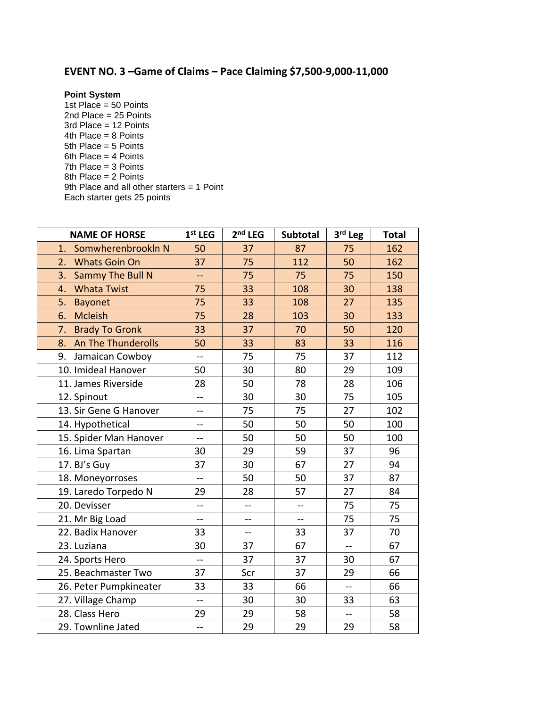## **EVENT NO. 3 –Game of Claims – Pace Claiming \$7,500-9,000-11,000**

**Point System**

1st Place =  $50$  Points 2nd Place = 25 Points 3rd Place = 12 Points 4th Place = 8 Points 5th Place = 5 Points 6th Place = 4 Points 7th Place = 3 Points 8th Place = 2 Points 9th Place and all other starters = 1 Point Each starter gets 25 points

| <b>NAME OF HORSE</b>        | $1st$ LEG                | $2nd$ LEG                | <b>Subtotal</b> | 3rd Leg        | <b>Total</b> |
|-----------------------------|--------------------------|--------------------------|-----------------|----------------|--------------|
| SomwherenbrookIn N<br>1.    | 50                       | 37                       | 87              | 75             | 162          |
| 2.<br><b>Whats Goin On</b>  | 37                       | 75                       | 112             | 50             | 162          |
| Sammy The Bull N<br>3.      | --                       | 75                       | 75              | 75             | 150          |
| <b>Whata Twist</b><br>4.    | 75                       | 33                       | 108             | 30             | 138          |
| 5.<br><b>Bayonet</b>        | 75                       | 33                       | 108             | 27             | 135          |
| <b>Mcleish</b><br>6.        | 75                       | 28                       | 103             | 30             | 133          |
| 7.<br><b>Brady To Gronk</b> | 33                       | 37                       | 70              | 50             | 120          |
| An The Thunderolls<br>8.    | 50                       | 33                       | 83              | 33             | 116          |
| Jamaican Cowboy<br>9.       | $-$                      | 75                       | 75              | 37             | 112          |
| 10. Imideal Hanover         | 50                       | 30                       | 80              | 29             | 109          |
| 11. James Riverside         | 28                       | 50                       | 78              | 28             | 106          |
| 12. Spinout                 | $\overline{a}$           | 30                       | 30              | 75             | 105          |
| 13. Sir Gene G Hanover      | $-$                      | 75                       | 75              | 27             | 102          |
| 14. Hypothetical            | --                       | 50                       | 50              | 50             | 100          |
| 15. Spider Man Hanover      | --                       | 50                       | 50              | 50             | 100          |
| 16. Lima Spartan            | 30                       | 29                       | 59              | 37             | 96           |
| 17. BJ's Guy                | 37                       | 30                       | 67              | 27             | 94           |
| 18. Moneyorroses            | --                       | 50                       | 50              | 37             | 87           |
| 19. Laredo Torpedo N        | 29                       | 28                       | 57              | 27             | 84           |
| 20. Devisser                | $\overline{a}$           | $-$                      | $-$             | 75             | 75           |
| 21. Mr Big Load             | $-$                      | $\overline{a}$           | $\overline{a}$  | 75             | 75           |
| 22. Badix Hanover           | 33                       | $\overline{\phantom{a}}$ | 33              | 37             | 70           |
| 23. Luziana                 | 30                       | 37                       | 67              | --             | 67           |
| 24. Sports Hero             | $\overline{\phantom{a}}$ | 37                       | 37              | 30             | 67           |
| 25. Beachmaster Two         | 37                       | Scr                      | 37              | 29             | 66           |
| 26. Peter Pumpkineater      | 33                       | 33                       | 66              | $\overline{a}$ | 66           |
| 27. Village Champ           | $\overline{a}$           | 30                       | 30              | 33             | 63           |
| 28. Class Hero              | 29                       | 29                       | 58              | $-$            | 58           |
| 29. Townline Jated          | $\overline{a}$           | 29                       | 29              | 29             | 58           |